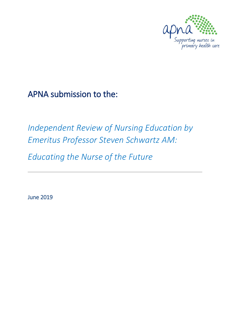

## APNA submission to the:

# *Independent Review of Nursing Education by Emeritus Professor Steven Schwartz AM:*

*Educating the Nurse of the Future* 

June 2019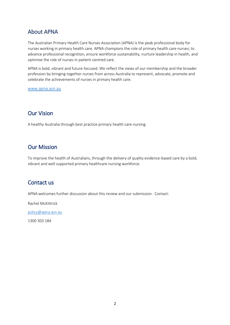## About APNA

The Australian Primary Health Care Nurses Association (APNA) is the peak professional body for nurses working in primary health care. APNA champions the role of primary health care nurses; to advance professional recognition, ensure workforce sustainability, nurture leadership in health, and optimise the role of nurses in patient-centred care.

APNA is bold, vibrant and future-focused. We reflect the views of our membership and the broader profession by bringing together nurses from across Australia to represent, advocate, promote and celebrate the achievements of nurses in primary health care.

[www.apna.asn.au](http://www.apna.asn.au/)

## Our Vision

A healthy Australia through best practice primary health care nursing.

## Our Mission

To improve the health of Australians, through the delivery of quality evidence-based care by a bold, vibrant and well supported primary healthcare nursing workforce.

## Contact us

APNA welcomes further discussion about this review and our submission. Contact:

Rachel McKittrick

[policy@apna.asn.au](mailto:policy@apna.asn.au)

1300 303 184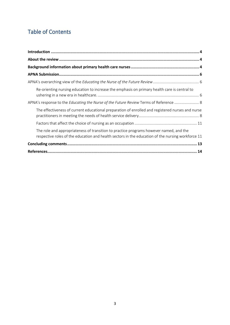## Table of Contents

| Re-orienting nursing education to increase the emphasis on primary health care is central to                                                                                                |
|---------------------------------------------------------------------------------------------------------------------------------------------------------------------------------------------|
| APNA's response to the Educating the Nurse of the Future Review Terms of Reference  8                                                                                                       |
| The effectiveness of current educational preparation of enrolled and registered nurses and nurse                                                                                            |
|                                                                                                                                                                                             |
| The role and appropriateness of transition to practice programs however named, and the<br>respective roles of the education and health sectors in the education of the nursing workforce 11 |
|                                                                                                                                                                                             |
|                                                                                                                                                                                             |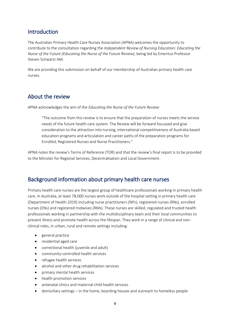## <span id="page-3-0"></span>Introduction

The Australian Primary Health Care Nurses Association (APNA) welcomes the opportunity to contribute to the consultation regarding the *Independent Review of Nursing Education: Educating the Nurse of the Future (Educating the Nurse of the Future Review)*, being led by Emeritus Professor Steven Schwartz AM*.*

We are providing this submission on behalf of our membership of Australian primary health care nurses.

### <span id="page-3-1"></span>About the review

APNA acknowledges the aim of the *Educating the Nurse of the Future Review:*

"The outcome from this review is to ensure that the preparation of nurses meets the service needs of the future health care system. The Review will be forward focussed and give consideration to the attraction into nursing, international competitiveness of Australia based education programs and articulation and career paths of the preparation programs for Enrolled, Registered Nurses and Nurse Practitioners."

APNA notes the review's Terms of Reference (TOR) and that the review's final report is to be provided to the Minister for Regional Services, Decentralisation and Local Government.

## <span id="page-3-2"></span>Background information about primary health care nurses

Primary health care nurses are the largest group of healthcare professionals working in primary health care. In Australia, at least 78,000 nurses work outside of the hospital setting in primary health care (Department of Health 2019) including nurse practitioners (NPs), registered nurses (RNs), enrolled nurses (ENs) and registered midwives (RMs). These nurses are skilled, regulated and trusted health professionals working in partnership with the multidisciplinary team and their local communities to prevent illness and promote health across the lifespan. They work in a range of clinical and nonclinical roles, in urban, rural and remote settings including:

- general practice
- residential aged care
- correctional health (juvenile and adult)
- community-controlled health services
- refugee health services
- alcohol and other drug rehabilitation services
- primary mental health services
- health promotion services
- antenatal clinics and maternal child health services
- domiciliary settings in the home, boarding houses and outreach to homeless people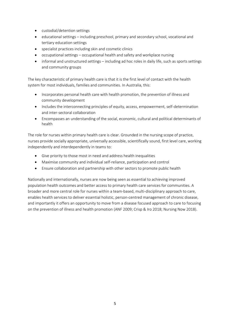- custodial/detention settings
- educational settings including preschool, primary and secondary school, vocational and tertiary education settings
- specialist practices including skin and cosmetic clinics
- occupational settings occupational health and safety and workplace nursing
- informal and unstructured settings including ad hoc roles in daily life, such as sports settings and community groups

The key characteristic of primary health care is that it is the first level of contact with the health system for most individuals, families and communities. In Australia, this:

- Incorporates personal health care with health promotion, the prevention of illness and community development
- Includes the interconnecting principles of equity, access, empowerment, self-determination and inter-sectoral collaboration
- Encompasses an understanding of the social, economic, cultural and political determinants of health

The role for nurses within primary health care is clear. Grounded in the nursing scope of practice, nurses provide socially appropriate, universally accessible, scientifically sound, first level care, working independently and interdependently in teams to:

- Give priority to those most in need and address health inequalities
- Maximise community and individual self-reliance, participation and control
- Ensure collaboration and partnership with other sectors to promote public health

Nationally and internationally, nurses are now being seen as essential to achieving improved population health outcomes and better access to primary health care services for communities. A broader and more central role for nurses within a team-based, multi-disciplinary approach to care, enables health services to deliver essential holistic, person-centred management of chronic disease, and importantly it offers an opportunity to move from a disease focused approach to care to focusing on the prevention of illness and health promotion (ANF 2009; Crisp & Iro 2018; Nursing Now 2018).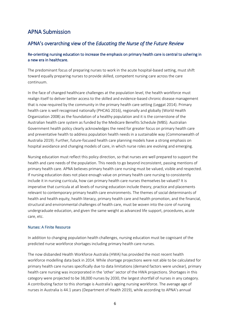## <span id="page-5-0"></span>APNA Submission

### <span id="page-5-1"></span>APNA's overarching view of the *Educating the Nurse of the Future Review*

#### <span id="page-5-2"></span>Re-orienting nursing education to increase the emphasis on primary health care is central to ushering in a new era in healthcare.

The predominant focus of preparing nurses to work in the acute hospital-based setting, must shift toward equally preparing nurses to provide skilled, competent nursing care across the care continuum.

In the face of changed healthcare challenges at the population level, the health workforce must realign itself to deliver better access to the skilled and evidence-based chronic disease management that is now required by the community in the primary health care setting (Leggat 2014). Primary health care is well recognised nationally (PHCAG 2016), regionally and globally (World Health Organization 2008) as the foundation of a healthy population and it is the cornerstone of the Australian health care system as funded by the Medicare Benefits Schedule (MBS). Australian Government health policy clearly acknowledges the need for greater focus on primary health care and preventative health to address population health needs in a sustainable way (Commonwealth of Australia 2019). Further, future-focused health care planning models have a strong emphasis on hospital avoidance and changing models of care, in which nurse roles are evolving and emerging.

Nursing education must reflect this policy direction, so that nurses are well prepared to support the health and care needs of the population. This needs to go beyond inconsistent, passing mentions of primary health care. APNA believes primary health care nursing must be valued, visible and respected. If nursing education does not place enough value on primary health care nursing to consistently include it in nursing curricula, how can primary health care nurses themselves be valued? It is imperative that curricula at all levels of nursing education include theory, practice and placements relevant to contemporary primary health care environments. The themes of social determinants of health and health equity, health literacy, primary health care and health promotion, and the financial, structural and environmental challenges of health care, must be woven into the core of nursing undergraduate education, and given the same weight as advanced life support, procedures, acute care, etc.

#### Nurses: A Finite Resource

In addition to changing population health challenges, nursing education must be cognisant of the predicted nurse workforce shortages including primary health care nurses.

The now disbanded Health Workforce Australia (HWA) has provided the most recent health workforce modelling data back in 2014. While shortage projections were not able to be calculated for primary health care nurses specifically due to data limitations (demand factors were unclear), primary health care nursing was incorporated in the 'other' sector of the HWA projections. Shortages in this category were projected to be 38,000 nurses by 2030, the largest shortfall of nurses in any category. A contributing factor to this shortage is Australia's ageing nursing workforce. The average age of nurses in Australia is 44.1 years (Department of Health 2019), while according to APNA's annual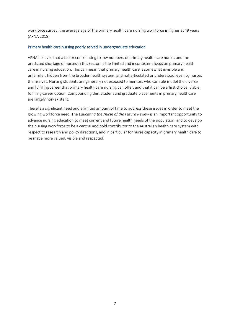workforce survey, the average age of the primary health care nursing workforce is higher at 49 years (APNA 2018).

#### Primary health care nursing poorly served in undergraduate education

APNA believes that a factor contributing to low numbers of primary health care nurses and the predicted shortage of nurses in this sector, is the limited and inconsistent focus on primary health care in nursing education. This can mean that primary health care is somewhat invisible and unfamiliar, hidden from the broader health system, and not articulated or understood, even by nurses themselves. Nursing students are generally not exposed to mentors who can role model the diverse and fulfilling career that primary health care nursing can offer, and that it can be a first choice, viable, fulfilling career option. Compounding this, student and graduate placements in primary healthcare are largely non-existent.

There is a significant need and a limited amount of time to address these issues in order to meet the growing workforce need. The *Educating the Nurse of the Future Review* is an important opportunity to advance nursing education to meet current and future health needs of the population, and to develop the nursing workforce to be a central and bold contributor to the Australian health care system with respect to research and policy directions, and in particular for nurse capacity in primary health care to be made more valued, visible and respected.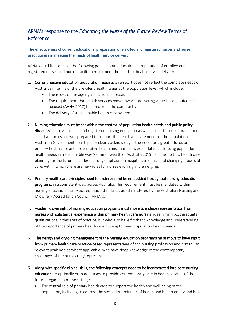## <span id="page-7-0"></span>APNA's response to the *Educating the Nurse of the Future Review* Terms of Reference

#### <span id="page-7-1"></span>The effectiveness of current educational preparation of enrolled and registered nurses and nurse practitioners in meeting the needs of health service delivery

APNA would like to make the following points about educational preparation of enrolled and registered nurses and nurse practitioners to meet the needs of health service delivery.

- 1. Current nursing education preparation requires a re-set. It does not reflect the complete needs of Australias in terms of the prevalent health issues at the population level, which include:
	- The issues of the ageing and chronic disease;
	- The requirement that health services move towards delivering value-based, outcomesfocused (AHHA 2017) health care in the community
	- The delivery of a sustainable health care system.
- 2. Nursing education must be set within the context of population health needs and public policy direction – across enrolled and registered nursing education as well as that for nurse practitioners – so that nurses are well prepared to support the health and care needs of the population. Australian Government health policy clearly acknowledges the need for a greater focus on primary health care and preventative health and that this is essential to addressing population health needs in a sustainable way (Commonwealth of Australia 2019). Further to this, health care planning for the future includes a strong emphasis on hospital avoidance and changing models of care, within which there are new roles for nurses evolving and emerging.
- 3. Primary health care principles need to underpin and be embedded throughout nursing education programs, in a consistent way, across Australia. This requirement must be mandated within nursing education quality accreditation standards, as administered by the Australian Nursing and Midwifery Accreditation Council (ANMAC).
- 4. Academic oversight of nursing education programs must move to include representation from nurses with substantial experience within primary health care nursing, ideally with post graduate qualifications in this area of practice, but who also have firsthand knowledge and understanding of the importance of primary health care nursing to meet population health needs.
- 5. The design and ongoing management of the nursing education programs must move to have input from primary health care practice-based representatives of the nursing profession and also utilise relevant peak bodies where applicable, who have deep knowledge of the contemporary challenges of the nurses they represent.
- 6. Along with specific clinical skills, the following concepts need to be incorporated into core nursing education, to optimally prepare nurses to provide contemporary care in health services of the future, regardless of the setting:
	- The central role of primary health care to support the health and well-being of the population, including to address the social determinants of health and health equity and how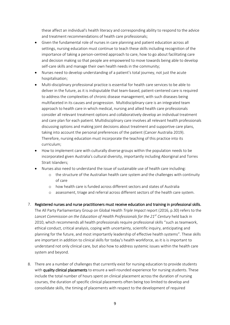these affect an individual's health literacy and corresponding ability to respond to the advice and treatment recommendations of health care professionals;

- Given the fundamental role of nurses in care planning and patient education across all settings, nursing education must continue to teach these skills including recognition of the importance of taking a person-centred approach to care, how to go about facilitating care and decision making so that people are empowered to move towards being able to develop self-care skills and manage their own health needs in the community;
- Nurses need to develop understanding of a patient's total journey, not just the acute hospitalisation;
- Multi-disciplinary professional practice is essential for health care services to be able to deliver in the future, as it is indisputable that team-based, patient-centered care is required to address the complexities of chronic disease management, with such diseases being multifaceted in its causes and progression. Multidisciplinary care is an integrated team approach to health care in which medical, nursing and allied health care professionals consider all relevant treatment options and collaboratively develop an individual treatment and care plan for each patient. Multidisciplinary care involves all relevant health professionals discussing options and making joint decisions about treatment and supportive care plans, taking into account the personal preferences of the patient (Cancer Australia 2019). Therefore, nursing education must incorporate the teaching of this practice into its curriculum;
- How to implement care with culturally diverse groups within the population needs to be incorporated given Australia's cultural diversity, importantly including Aboriginal and Torres Strait Islanders;
- Nurses also need to understand the issue of sustainable use of health care including:
	- o the structure of the Australian health care system and the challenges with continuity of care
	- o how health care is funded across different sectors and states of Australia
	- assessment, triage and referral across different sectors of the health care system.
- 7. Registered nurses and nurse practitioners must receive education and training in professional skills.

The All Party Parliamentary Group on Global Health *Triple Impact* report (2016, p.30) refers to the *Lancet Commission on the Education of Health Professionals for the 21st Century* held back in 2010, which recommends all health professionals require professional skills "such as teamwork, ethical conduct, critical analysis, coping with uncertainty, scientific inquiry, anticipating and planning for the future, and most importantly leadership of effective health systems". These skills are important in addition to clinical skills for today's health workforce, as it is is important to understand not only clinical care, but also how to address systemic issues within the health care system and beyond.

8. There are a number of challenges that currently exist for nursing education to provide students with quality clinical placements to ensure a well-rounded experience for nursing students. These include the total number of hours spent on clinical placement across the duration of nursing courses, the duration of specific clinical placements often being too limited to develop and consolidate skills, the timing of placements with respect to the development of required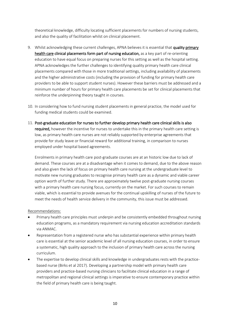theoretical knowledge, difficulty locating sufficient placements for numbers of nursing students, and also the quality of facilitation whilst on clinical placement.

- 9. Whilst acknowledging these current challenges, APNA believes it is essential that quality primary health care clinical placements form part of nursing education, as a key part of re-orienting education to have equal focus on preparing nurses for this setting as well as the hospital setting. APNA acknowledges the further challenges to identifying quality primary health care clinical placements compared with those in more traditional settings, including availability of placements and the higher administrative costs (including the provision of funding for primary health care providers to be able to support student nurses). However these barriers must be addressed and a minimum number of hours for primary health care placements be set for clinical placements that reinforce the underpinning theory taught in courses.
- 10. In considering how to fund nursing student placements in general practice, the model used for funding medical students could be examined.
- 11. Post-graduate education for nurses to further develop primary health care clinical skills is also required, however the incentive for nurses to undertake this in the primary health care setting is low, as primary health care nurses are not reliably supported by enterprise agreements that provide for study leave or financial reward for additional training, in comparison to nurses employed under hospital based agreements.

Enrolments in primary health care post-graduate courses are at an historic low due to lack of demand. These courses are at a disadvantage when it comes to demand, due to the above reason and also given the lack of focus on primary health care nursing at the undergraduate level to motivate new nursing graduates to recognise primary health care as a dynamic and viable career option worth of further study. There are approximately twelve post-graduate nursing courses with a primary health care nursing focus, currently on the market. For such courses to remain viable, which is essential to provide avenues for the continual upskilling of nurses of the future to meet the needs of health service delivery in the community, this issue must be addressed.

Recommendations:

- Primary health care principles must underpin and be consistently embedded throughout nursing education programs, as a mandatory requirement via nursing education accreditation standards via ANMAC.
- Representation from a registered nurse who has substantial experience within primary health care is essential at the senior academic level of all nursing education courses, in order to ensure a systematic, high quality approach to the inclusion of primary health care across the nursing curriculum.
- The expertise to develop clinical skills and knowledge in undergraduates rests with the practicebased nurse (Birks et al 2017). Developing a partnership model with primary health care providers and practice-based nursing clinicians to facilitate clinical education in a range of metropolitan and regional clinical settings is imperative to ensure contemporary practice within the field of primary health care is being taught.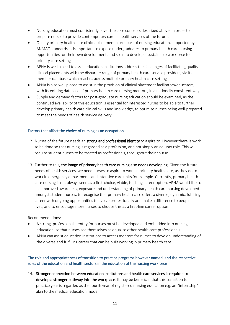- Nursing education must consistently cover the core concepts described above, in order to prepare nurses to provide contemporary care in health services of the future.
- Quality primary health care clinical placements form part of nursing education, supported by ANMAC standards. It is important to expose undergraduates to primary health care nursing opportunities for their own development, and so as to develop a sustainable workforce for primary care settings.
- APNA is well placed to assist education institutions address the challenges of facilitating quality clinical placements with the disparate range of primary health care service providers, via its member database which reaches across multiple primary health care settings.
- APNA is also well placed to assist in the provision of clinical placement facilitators/educators, with its existing database of primary health care nursing mentors, in a nationally consistent way.
- Supply and demand factors for post-graduate nursing education should be examined, as the continued availability of this education is essential for interested nurses to be able to further develop primary health care clinical skills and knowledge, to optimise nurses being well-prepared to meet the needs of health service delivery.

#### <span id="page-10-0"></span>Factors that affect the choice of nursing as an occupation

- 12. Nurses of the future needs an strong and professional identity to aspire to. However there is work to be done so that nursing is regarded as a profession, and not simply an adjunct role. This will require student nurses to be treated as professionals, throughout their course.
- 13. Further to this, the image of primary health care nursing also needs developing. Given the future needs of health services, we need nurses to aspire to work in primary health care, as they do to work in emergency departments and intensive care units for example. Currently, primary health care nursing is not always seen as a first-choice, viable, fulfilling career option. APNA would like to see improved awareness, exposure and understanding of primary health care nursing developed amongst student nurses, to recognise that primary health care offers a diverse, dynamic, fulfilling career with ongoing opportunities to evolve professionally and make a difference to people's lives, and to encourage more nurses to choose this as a first-line career option.

#### Recommendations:

- A strong, professional identity for nurses must be developed and embedded into nursing education, so that nurses see themselves as equal to other health care professionals.
- APNA can assist education institutions to access mentors for nurses to develop understanding of the diverse and fulfilling career that can be built working in primary health care.

<span id="page-10-1"></span>The role and appropriateness of transition to practice programs however named, and the respective roles of the education and health sectors in the education of the nursing workforce

14. Stronger connection between education institutions and health care services is required to develop a stronger pathway into the workplace. It may be beneficial that this transition to practice year is regarded as the fourth year of registered nursing education e.g. an "internship" akin to the medical education model.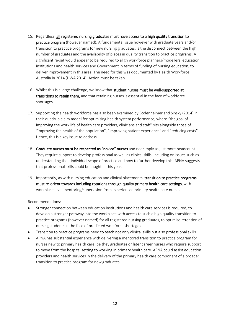- 15. Regardless, all registered nursing graduates must have access to a high quality transition to practice program (however named). A fundamental issue however with graduate years and/or transition to practice programs for new nursing graduates, is the disconnect between the high number of graduates and the availability of places in quality transition to practice programs. A significant re-set would appear to be required to align workforce planners/modellers, education institutions and health services and Government in terms of funding of nursing education, to deliver improvement in this area. The need for this was documented by Health Workforce Australia in 2014 (HWA 2014). Action must be taken.
- 16. Whilst this is a large challenge, we know that student nurses must be well-supported at transitions to retain them, and that retaining nurses is essential in the face of workforce shortages.
- 17. Supporting the health workforce has also been examined by Bodenheimer and Sinsky (2014) in their quadruple aim model for optimising health system performance, where "the goal of improving the work life of health care providers, clinicians and staff" sits alongside those of "improving the health of the population", "improving patient experience" and "reducing costs". Hence, this is a key issue to address.
- 18. Graduate nurses must be respected as "novice" nurses and not simply as just more headcount. They require support to develop professional as well as clinical skills, including on issues such as understanding their individual scope of practice and how to further develop this. APNA suggests that professional skills could be taught in this year.
- 19. Importantly, as with nursing education and clinical placements, transition to practice programs must re-orient towards including rotations through quality primary health care settings, with workplace level mentoring/supervision from experienced primary health care nurses.

#### Recommendations:

- Stronger connection between education institutions and health care services is required, to develop a stronger pathway into the workplace with access to such a high quality transition to practice programs (however named) for all registered nursing graduates, to optimise retention of nursing students in the face of predicted workforce shortages.
- Transition to practice programs need to teach not only clinical skills but also professional skills.
- APNA has substantial experience with delivering a mentored transition to practice program for nurses new to primary health care, be they graduates or later career nurses who require support to move from the hospital setting to working in primary health care. APNA could assist education providers and health services in the delivery of the primary health care component of a broader transition to practice program for new graduates.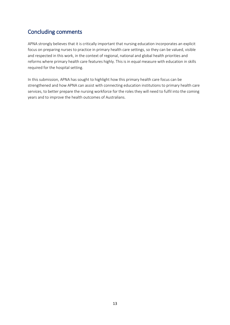## <span id="page-12-0"></span>Concluding comments

APNA strongly believes that it is critically important that nursing education incorporates an explicit focus on preparing nurses to practice in primary health care settings, so they can be valued, visible and respected in this work, in the context of regional, national and global health priorities and reforms where primary health care features highly. This is in equal measure with education in skills required for the hospital setting.

In this submission, APNA has sought to highlight how this primary health care focus can be strengthened and how APNA can assist with connecting education institutions to primary health care services, to better prepare the nursing workforce for the roles they will need to fulfil into the coming years and to improve the health outcomes of Australians.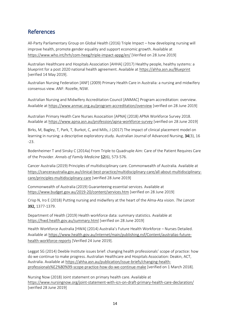## <span id="page-13-0"></span>References

All-Party Parliamentary Group on Global Health (2016) Triple Impact – how developing nursing will improve health, promote gender equality and support economic growth. Available at <https://www.who.int/hrh/com-heeg/triple-impact-appg/en/> [Verified on 28 June 2019]

Australian Healthcare and Hospitals Association [AHHA] (2017) Healthy people, healthy systems: a blueprint for a post 2020 national health agreement. Available at<https://ahha.asn.au/Blueprint> [verified 14 May 2019].

Australian Nursing Federation [ANF] (2009) Primary Health Care in Australia: a nursing and midwifery consensus view. ANF: Rozelle, NSW.

Australian Nursing and Midwifery Accreditation Council [ANMAC] Program accreditation: overview. Available a[t https://www.anmac.org.au/program-accreditation/overview](https://www.anmac.org.au/program-accreditation/overview) [verified on 28 June 2019]

Australian Primary Health Care Nurses Assocaition [APNA] (2018) APNA Workforce Survey 2018. Available a[t https://www.apna.asn.au/profession/apna-workforce-survey](https://www.apna.asn.au/profession/apna-workforce-survey) [verified on 28 June 2019]

Birks, M, Bagley, T, Park, T, Burkot, C, and Mills, J (2017) The impact of clinical placement model on learning in nursing: a descriptive exploratory study. Australian Journal of Advanced Nursing, 34(3), 16 -23.

Bodenheimer T and Sinsky C (2014a) From Triple to Quadruple Aim: Care of the Patient Requires Care of the Provider. *Annals of Family Medicine* 12(6), 573-576.

Cancer Australia (2019) Principles of multidisciplinary care. Commonwealth of Australia. Available at [https://canceraustralia.gov.au/clinical-best-practice/multidisciplinary-care/all-about-multidisciplinary](https://canceraustralia.gov.au/clinical-best-practice/multidisciplinary-care/all-about-multidisciplinary-care/principles-multidisciplinary-care)[care/principles-multidisciplinary-care](https://canceraustralia.gov.au/clinical-best-practice/multidisciplinary-care/all-about-multidisciplinary-care/principles-multidisciplinary-care) [verified 28 June 2019]

Commonwealth of Australia (2019) Guaranteeing essential services. Available at <https://www.budget.gov.au/2019-20/content/services.htm> [verified on 28 June 2019]

Crisp N, Iro E (2018) Putting nursing and midwifery at the heart of the Alma-Ata vision. *The Lancet*  392, 1377-1379.

Department of Health (2019) Health workforce data: summary statistics. Available at <https://hwd.health.gov.au/summary.html> [verified on 28 June 2019]

Health Workforce Australia [HWA] (2014) Australia's Future Health Workforce – Nurses Detailed. Available a[t https://www.health.gov.au/internet/main/publishing.nsf/Content/australias-future](https://www.health.gov.au/internet/main/publishing.nsf/Content/australias-future-health-workforce-reports)[health-workforce-reports](https://www.health.gov.au/internet/main/publishing.nsf/Content/australias-future-health-workforce-reports) [Verified 24 June 2019].

Leggat SG (2014) Deeble Institute issues brief: changing health professionals' scope of practice: how do we continue to make progress. Australian Healthcare and Hospitals Association: Deakin, ACT, Australia. Available at [https://ahha.asn.au/publication/issue-briefs/changing-health](https://ahha.asn.au/publication/issue-briefs/changing-health-professionals%E2%80%99-scope-practice-how-do-we-continue-make)[professionals%E2%80%99-scope-practice-how-do-we-continue-make](https://ahha.asn.au/publication/issue-briefs/changing-health-professionals%E2%80%99-scope-practice-how-do-we-continue-make) [verified on 1 March 2018].

Nursing Now (2018) Joint statement on primary health care. Available at <https://www.nursingnow.org/joint-statement-with-icn-on-draft-primary-health-care-declaration/> [verified 28 June 2019]